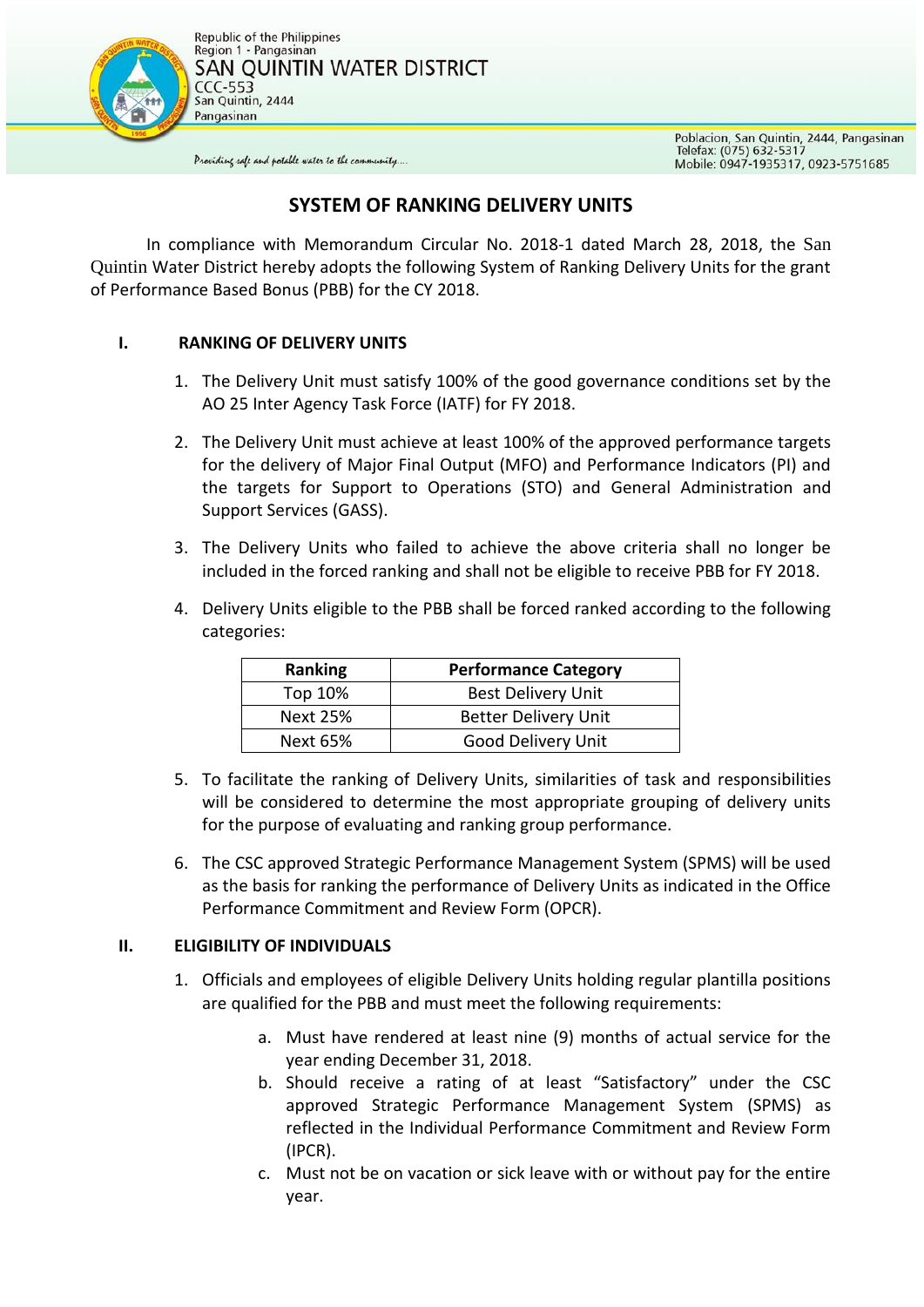

Poblacion, San Quintin, 2444, Pangasinan<br>Telefax: (075) 632-5317 Mobile: 0947-1935317, 0923-5751685

Providing safe and potable water to the community....

## **SYSTEM OF RANKING DELIVERY UNITS**

In compliance with Memorandum Circular No. 2018-1 dated March 28, 2018, the San Quintin Water District hereby adopts the following System of Ranking Delivery Units for the grant of Performance Based Bonus (PBB) for the CY 2018.

## **I. RANKING OF DELIVERY UNITS**

- 1. The Delivery Unit must satisfy 100% of the good governance conditions set by the AO 25 Inter Agency Task Force (IATF) for FY 2018.
- 2. The Delivery Unit must achieve at least 100% of the approved performance targets for the delivery of Major Final Output (MFO) and Performance Indicators (PI) and the targets for Support to Operations (STO) and General Administration and Support Services (GASS).
- 3. The Delivery Units who failed to achieve the above criteria shall no longer be included in the forced ranking and shall not be eligible to receive PBB for FY 2018.
- 4. Delivery Units eligible to the PBB shall be forced ranked according to the following categories:

| <b>Ranking</b>  | <b>Performance Category</b> |
|-----------------|-----------------------------|
| Top 10%         | <b>Best Delivery Unit</b>   |
| <b>Next 25%</b> | <b>Better Delivery Unit</b> |
| <b>Next 65%</b> | Good Delivery Unit          |

- 5. To facilitate the ranking of Delivery Units, similarities of task and responsibilities will be considered to determine the most appropriate grouping of delivery units for the purpose of evaluating and ranking group performance.
- 6. The CSC approved Strategic Performance Management System (SPMS) will be used as the basis for ranking the performance of Delivery Units as indicated in the Office Performance Commitment and Review Form (OPCR).

## **II. ELIGIBILITY OF INDIVIDUALS**

- 1. Officials and employees of eligible Delivery Units holding regular plantilla positions are qualified for the PBB and must meet the following requirements:
	- a. Must have rendered at least nine (9) months of actual service for the year ending December 31, 2018.
	- b. Should receive a rating of at least "Satisfactory" under the CSC approved Strategic Performance Management System (SPMS) as reflected in the Individual Performance Commitment and Review Form (IPCR).
	- c. Must not be on vacation or sick leave with or without pay for the entire year.